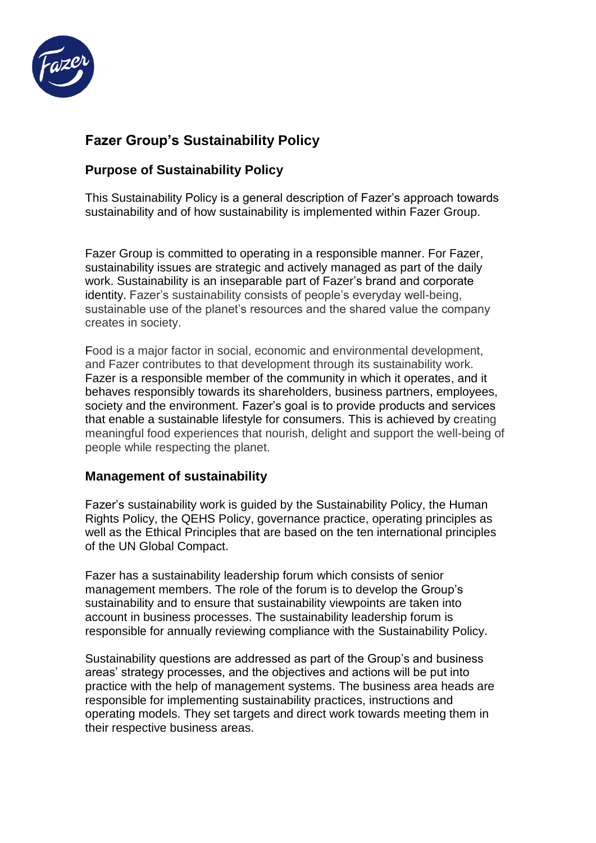

## **Fazer Group's Sustainability Policy**

## **Purpose of Sustainability Policy**

This Sustainability Policy is a general description of Fazer's approach towards sustainability and of how sustainability is implemented within Fazer Group.

Fazer Group is committed to operating in a responsible manner. For Fazer, sustainability issues are strategic and actively managed as part of the daily work. Sustainability is an inseparable part of Fazer's brand and corporate identity. Fazer's sustainability consists of people's everyday well-being, sustainable use of the planet's resources and the shared value the company creates in society.

Food is a major factor in social, economic and environmental development, and Fazer contributes to that development through its sustainability work. Fazer is a responsible member of the community in which it operates, and it behaves responsibly towards its shareholders, business partners, employees, society and the environment. Fazer's goal is to provide products and services that enable a sustainable lifestyle for consumers. This is achieved by creating meaningful food experiences that nourish, delight and support the well-being of people while respecting the planet.

## **Management of sustainability**

Fazer's sustainability work is guided by [the Sustainability](http://www.fazergroup.com/globalassets/global/fazergroup/responsibility/fg_corporate-responsbility-policy.pdf) Policy, [the Human](http://www.fazergroup.com/siteassets/responsibility/human-rights-policy_final_gb.pdf)  [Rights Policy,](http://www.fazergroup.com/siteassets/responsibility/human-rights-policy_final_gb.pdf) [the QEHS Policy,](http://www.fazergroup.com/siteassets/responsibility/fazer_qehs_policy.pdf) governance practice, operating principles as well as the [Ethical Principles](http://www.fazergroup.com/responsibility/fazers-ethical-principles/) that are based on the ten international principles of the UN Global Compact.

Fazer has a sustainability leadership forum which consists of senior management members. The role of the forum is to develop the Group's sustainability and to ensure that sustainability viewpoints are taken into account in business processes. The sustainability leadership forum is responsible for annually reviewing compliance with the Sustainability Policy.

Sustainability questions are addressed as part of the Group's and business areas' strategy processes, and the objectives and actions will be put into practice with the help of management systems. The business area heads are responsible for implementing sustainability practices, instructions and operating models. They set targets and direct work towards meeting them in their respective business areas.